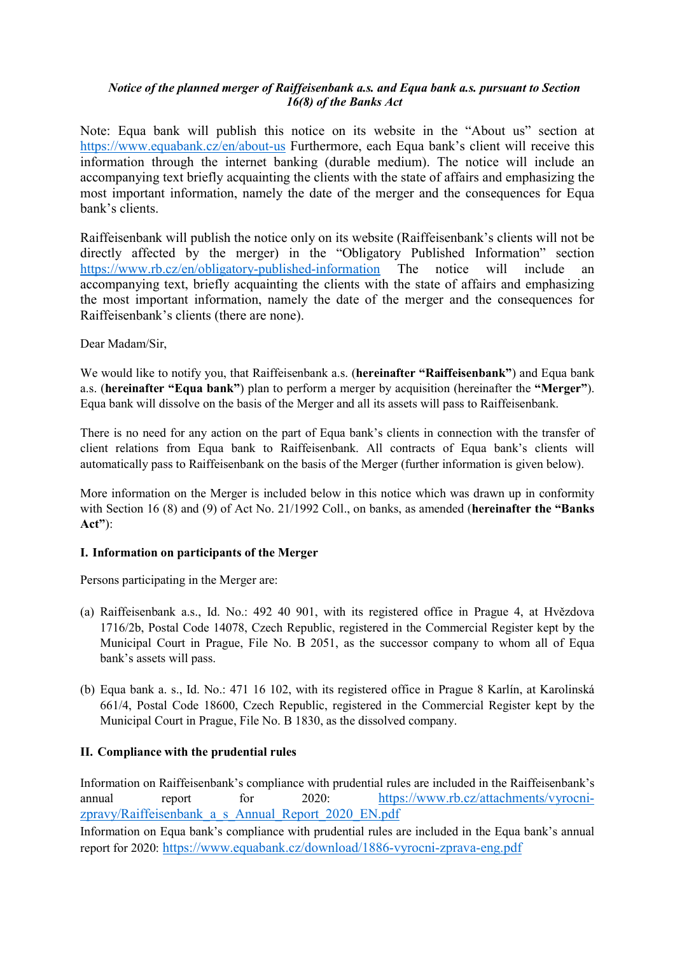### Notice of the planned merger of Raiffeisenbank a.s. and Equa bank a.s. pursuant to Section 16(8) of the Banks Act

Note: Equa bank will publish this notice on its website in the "About us" section at https://www.equabank.cz/en/about-us Furthermore, each Equa bank's client will receive this information through the internet banking (durable medium). The notice will include an accompanying text briefly acquainting the clients with the state of affairs and emphasizing the most important information, namely the date of the merger and the consequences for Equa bank's clients.

Raiffeisenbank will publish the notice only on its website (Raiffeisenbank's clients will not be directly affected by the merger) in the "Obligatory Published Information" section https://www.rb.cz/en/obligatory-published-information The notice will include an accompanying text, briefly acquainting the clients with the state of affairs and emphasizing the most important information, namely the date of the merger and the consequences for Raiffeisenbank's clients (there are none).

Dear Madam/Sir,

We would like to notify you, that Raiffeisenbank a.s. (hereinafter "Raiffeisenbank") and Equa bank a.s. (hereinafter "Equa bank") plan to perform a merger by acquisition (hereinafter the "Merger"). Equa bank will dissolve on the basis of the Merger and all its assets will pass to Raiffeisenbank.

There is no need for any action on the part of Equa bank's clients in connection with the transfer of client relations from Equa bank to Raiffeisenbank. All contracts of Equa bank's clients will automatically pass to Raiffeisenbank on the basis of the Merger (further information is given below).

More information on the Merger is included below in this notice which was drawn up in conformity with Section 16 (8) and (9) of Act No. 21/1992 Coll., on banks, as amended (hereinafter the "Banks  $Act")$ :

# I. Information on participants of the Merger

Persons participating in the Merger are:

- (a) Raiffeisenbank a.s., Id. No.: 492 40 901, with its registered office in Prague 4, at Hvězdova 1716/2b, Postal Code 14078, Czech Republic, registered in the Commercial Register kept by the Municipal Court in Prague, File No. B 2051, as the successor company to whom all of Equa bank's assets will pass.
- (b) Equa bank a. s., Id. No.: 471 16 102, with its registered office in Prague 8 Karlín, at Karolinská 661/4, Postal Code 18600, Czech Republic, registered in the Commercial Register kept by the Municipal Court in Prague, File No. B 1830, as the dissolved company.

# II. Compliance with the prudential rules

Information on Raiffeisenbank's compliance with prudential rules are included in the Raiffeisenbank's annual report for 2020: https://www.rb.cz/attachments/vyrocnizpravy/Raiffeisenbank\_a\_s\_Annual\_Report\_2020\_EN.pdf

Information on Equa bank's compliance with prudential rules are included in the Equa bank's annual report for 2020: https://www.equabank.cz/download/1886-vyrocni-zprava-eng.pdf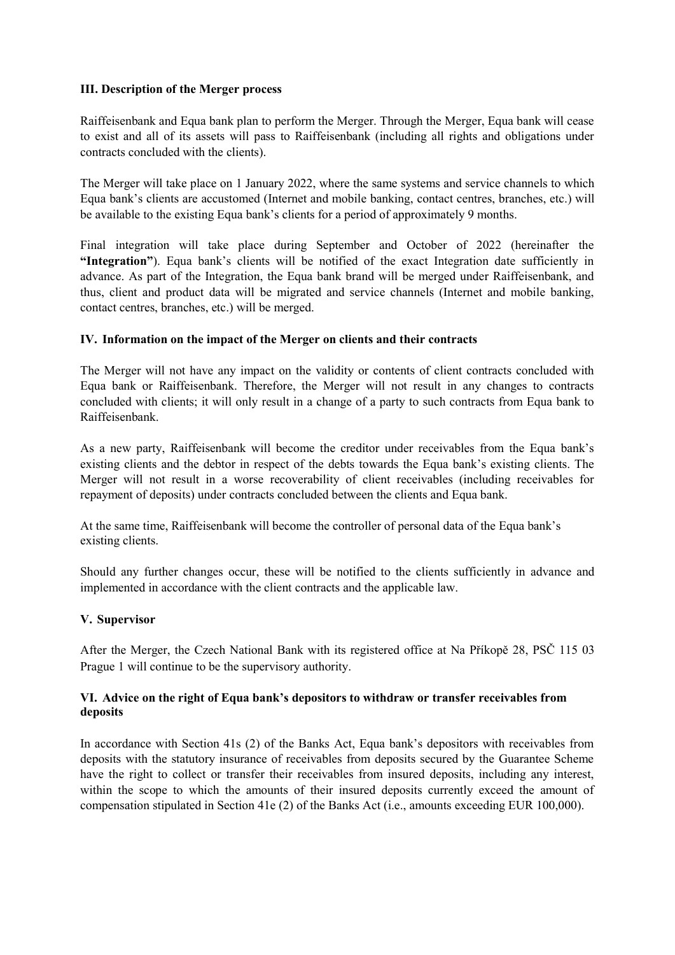### III. Description of the Merger process

Raiffeisenbank and Equa bank plan to perform the Merger. Through the Merger, Equa bank will cease to exist and all of its assets will pass to Raiffeisenbank (including all rights and obligations under contracts concluded with the clients).

The Merger will take place on 1 January 2022, where the same systems and service channels to which Equa bank's clients are accustomed (Internet and mobile banking, contact centres, branches, etc.) will be available to the existing Equa bank's clients for a period of approximately 9 months.

Final integration will take place during September and October of 2022 (hereinafter the "Integration"). Equa bank's clients will be notified of the exact Integration date sufficiently in advance. As part of the Integration, the Equa bank brand will be merged under Raiffeisenbank, and thus, client and product data will be migrated and service channels (Internet and mobile banking, contact centres, branches, etc.) will be merged.

### IV. Information on the impact of the Merger on clients and their contracts

The Merger will not have any impact on the validity or contents of client contracts concluded with Equa bank or Raiffeisenbank. Therefore, the Merger will not result in any changes to contracts concluded with clients; it will only result in a change of a party to such contracts from Equa bank to Raiffeisenbank.

As a new party, Raiffeisenbank will become the creditor under receivables from the Equa bank's existing clients and the debtor in respect of the debts towards the Equa bank's existing clients. The Merger will not result in a worse recoverability of client receivables (including receivables for repayment of deposits) under contracts concluded between the clients and Equa bank.

At the same time, Raiffeisenbank will become the controller of personal data of the Equa bank's existing clients.

Should any further changes occur, these will be notified to the clients sufficiently in advance and implemented in accordance with the client contracts and the applicable law.

#### V. Supervisor

After the Merger, the Czech National Bank with its registered office at Na Příkopě 28, PSČ 115 03 Prague 1 will continue to be the supervisory authority.

### VI. Advice on the right of Equa bank's depositors to withdraw or transfer receivables from deposits

In accordance with Section 41s (2) of the Banks Act, Equa bank's depositors with receivables from deposits with the statutory insurance of receivables from deposits secured by the Guarantee Scheme have the right to collect or transfer their receivables from insured deposits, including any interest, within the scope to which the amounts of their insured deposits currently exceed the amount of compensation stipulated in Section 41e (2) of the Banks Act (i.e., amounts exceeding EUR 100,000).